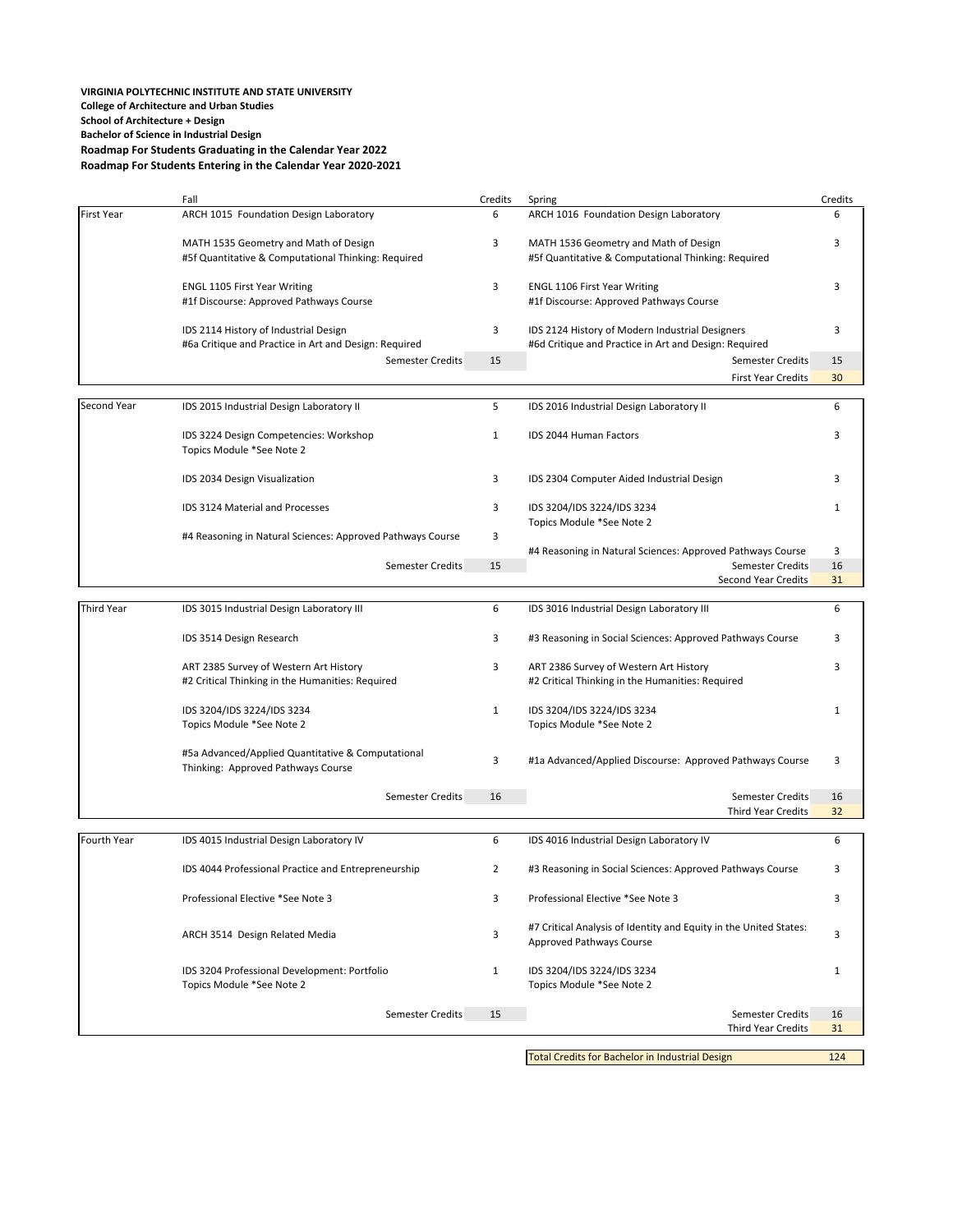# **VIRGINIA POLYTECHNIC INSTITUTE AND STATE UNIVERSITY College of Architecture and Urban Studies School of Architecture + Design Bachelor of Science in Industrial Design Roadmap For Students Graduating in the Calendar Year 2022 Roadmap For Students Entering in the Calendar Year 2020‐2021**

|                   | Fall                                                                                           | Credits        | Spring                                                                                                   | Credits  |
|-------------------|------------------------------------------------------------------------------------------------|----------------|----------------------------------------------------------------------------------------------------------|----------|
| <b>First Year</b> | ARCH 1015 Foundation Design Laboratory                                                         | 6              | ARCH 1016 Foundation Design Laboratory                                                                   | 6        |
|                   | MATH 1535 Geometry and Math of Design<br>#5f Quantitative & Computational Thinking: Required   | 3              | MATH 1536 Geometry and Math of Design<br>#5f Quantitative & Computational Thinking: Required             | 3        |
|                   | <b>ENGL 1105 First Year Writing</b><br>#1f Discourse: Approved Pathways Course                 | 3              | <b>ENGL 1106 First Year Writing</b><br>#1f Discourse: Approved Pathways Course                           | 3        |
|                   | IDS 2114 History of Industrial Design<br>#6a Critique and Practice in Art and Design: Required | 3              | IDS 2124 History of Modern Industrial Designers<br>#6d Critique and Practice in Art and Design: Required | 3        |
|                   | <b>Semester Credits</b>                                                                        | 15             | <b>Semester Credits</b>                                                                                  | 15       |
|                   |                                                                                                |                | <b>First Year Credits</b>                                                                                | 30       |
| Second Year       | IDS 2015 Industrial Design Laboratory II                                                       | 5              | IDS 2016 Industrial Design Laboratory II                                                                 | 6        |
|                   | IDS 3224 Design Competencies: Workshop<br>Topics Module *See Note 2                            | $\mathbf{1}$   | <b>IDS 2044 Human Factors</b>                                                                            | 3        |
|                   | IDS 2034 Design Visualization                                                                  | 3              | IDS 2304 Computer Aided Industrial Design                                                                | 3        |
|                   | <b>IDS 3124 Material and Processes</b>                                                         | 3              | IDS 3204/IDS 3224/IDS 3234<br>Topics Module *See Note 2                                                  | 1        |
|                   | #4 Reasoning in Natural Sciences: Approved Pathways Course                                     | 3              | #4 Reasoning in Natural Sciences: Approved Pathways Course                                               | 3        |
|                   | <b>Semester Credits</b>                                                                        | 15             | <b>Semester Credits</b>                                                                                  | 16       |
|                   |                                                                                                |                | Second Year Credits                                                                                      | 31       |
| <b>Third Year</b> | IDS 3015 Industrial Design Laboratory III                                                      | 6              | IDS 3016 Industrial Design Laboratory III                                                                | 6        |
|                   | IDS 3514 Design Research                                                                       | 3              | #3 Reasoning in Social Sciences: Approved Pathways Course                                                | 3        |
|                   | ART 2385 Survey of Western Art History<br>#2 Critical Thinking in the Humanities: Required     | 3              | ART 2386 Survey of Western Art History<br>#2 Critical Thinking in the Humanities: Required               | 3        |
|                   | IDS 3204/IDS 3224/IDS 3234                                                                     | $\mathbf{1}$   | IDS 3204/IDS 3224/IDS 3234                                                                               | 1        |
|                   | Topics Module *See Note 2                                                                      |                | Topics Module *See Note 2                                                                                |          |
|                   | #5a Advanced/Applied Quantitative & Computational<br>Thinking: Approved Pathways Course        | 3              | #1a Advanced/Applied Discourse: Approved Pathways Course                                                 | 3        |
|                   | <b>Semester Credits</b>                                                                        | 16             | <b>Semester Credits</b><br><b>Third Year Credits</b>                                                     | 16<br>32 |
| Fourth Year       | IDS 4015 Industrial Design Laboratory IV                                                       | 6              | IDS 4016 Industrial Design Laboratory IV                                                                 | 6        |
|                   | IDS 4044 Professional Practice and Entrepreneurship                                            | $\overline{2}$ | #3 Reasoning in Social Sciences: Approved Pathways Course                                                | 3        |
|                   | Professional Elective *See Note 3                                                              | 3              | Professional Elective *See Note 3                                                                        | 3        |
|                   | ARCH 3514 Design Related Media                                                                 | 3              | #7 Critical Analysis of Identity and Equity in the United States:<br>Approved Pathways Course            | 3        |
|                   | IDS 3204 Professional Development: Portfolio<br>Topics Module *See Note 2                      | $\mathbf{1}$   | IDS 3204/IDS 3224/IDS 3234<br>Topics Module *See Note 2                                                  | 1        |
|                   | Semester Credits                                                                               | 15             | <b>Semester Credits</b><br><b>Third Year Credits</b>                                                     | 16<br>31 |
|                   |                                                                                                |                |                                                                                                          |          |

Total Credits for Bachelor in Industrial Design 124 124